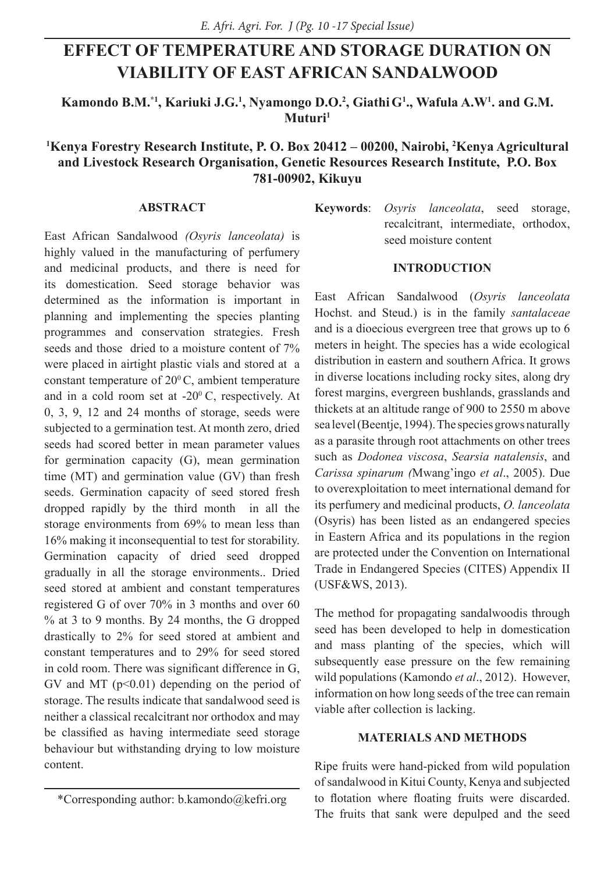# **EFFECT OF TEMPERATURE AND STORAGE DURATION ON VIABILITY OF EAST AFRICAN SANDALWOOD**

Kamondo B.M.<sup>\*1</sup>, Kariuki J.G.<sup>1</sup>, Nyamongo D.O.<sup>2</sup>, Giathi G<sup>1</sup>., Wafula A.W<sup>1</sup>. and G.M. **Muturi1**

# **1 Kenya Forestry Research Institute, P. O. Box 20412 – 00200, Nairobi, 2 Kenya Agricultural and Livestock Research Organisation, Genetic Resources Research Institute, P.O. Box 781-00902, Kikuyu**

### **ABSTRACT**

East African Sandalwood *(Osyris lanceolata)* is highly valued in the manufacturing of perfumery and medicinal products, and there is need for its domestication. Seed storage behavior was determined as the information is important in planning and implementing the species planting programmes and conservation strategies. Fresh seeds and those dried to a moisture content of  $7\%$ were placed in airtight plastic vials and stored at a constant temperature of  $20^{\circ}$ C, ambient temperature and in a cold room set at  $-20^{\circ}$ C, respectively. At 0, 3, 9, 12 and 24 months of storage, seeds were subjected to a germination test. At month zero, dried seeds had scored better in mean parameter values for germination capacity (G), mean germination time (MT) and germination value (GV) than fresh seeds. Germination capacity of seed stored fresh dropped rapidly by the third month in all the storage environments from 69% to mean less than 16% making it inconsequential to test for storability. Germination capacity of dried seed dropped gradually in all the storage environments.. Dried seed stored at ambient and constant temperatures registered G of over 70% in 3 months and over 60 % at 3 to 9 months. By 24 months, the G dropped drastically to 2% for seed stored at ambient and constant temperatures and to 29% for seed stored in cold room. There was significant difference in G, GV and MT  $(p<0.01)$  depending on the period of storage. The results indicate that sandalwood seed is neither a classical recalcitrant nor orthodox and may be classified as having intermediate seed storage behaviour but withstanding drying to low moisture content.

**Keywords**: *Osyris lanceolata*, seed storage, recalcitrant, intermediate, orthodox, seed moisture content

#### **INTRODUCTION**

East African Sandalwood (*Osyris lanceolata* Hochst. and Steud.) is in the family *santalaceae* and is a dioecious evergreen tree that grows up to 6 meters in height. The species has a wide ecological distribution in eastern and southern Africa. It grows in diverse locations including rocky sites, along dry forest margins, evergreen bushlands, grasslands and thickets at an altitude range of 900 to 2550 m above sea level (Beentje, 1994). The species grows naturally as a parasite through root attachments on other trees such as *Dodonea viscosa*, *Searsia natalensis*, and *Carissa spinarum (*Mwang'ingo *et al*., 2005). Due to overexploitation to meet international demand for its perfumery and medicinal products, *O. lanceolata* (Osyris) has been listed as an endangered species in Eastern Africa and its populations in the region are protected under the Convention on International Trade in Endangered Species (CITES) Appendix II (USF&WS, 2013).

The method for propagating sandalwoodis through seed has been developed to help in domestication and mass planting of the species, which will subsequently ease pressure on the few remaining wild populations (Kamondo *et al*., 2012). However, information on how long seeds of the tree can remain viable after collection is lacking.

#### **MATERIALS AND METHODS**

Ripe fruits were hand-picked from wild population of sandalwood in Kitui County, Kenya and subjected to flotation where floating fruits were discarded. The fruits that sank were depulped and the seed

<sup>\*</sup>Corresponding author: b.kamondo@kefri.org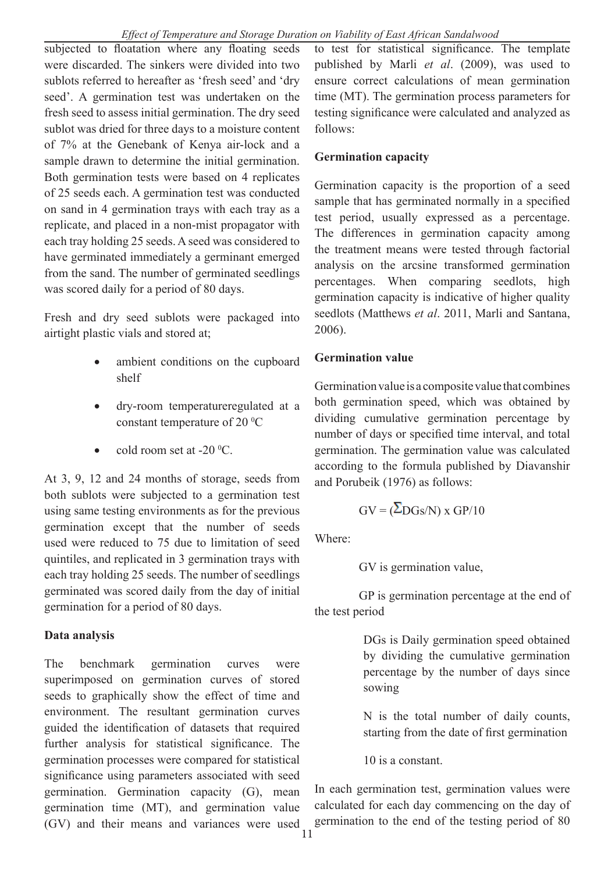subjected to floatation where any floating seeds were discarded. The sinkers were divided into two sublots referred to hereafter as 'fresh seed' and 'dry seed'. A germination test was undertaken on the fresh seed to assess initial germination. The dry seed sublot was dried for three days to a moisture content of 7% at the Genebank of Kenya air-lock and a sample drawn to determine the initial germination. Both germination tests were based on 4 replicates of 25 seeds each. A germination test was conducted on sand in 4 germination trays with each tray as a replicate, and placed in a non-mist propagator with each tray holding 25 seeds. A seed was considered to have germinated immediately a germinant emerged from the sand. The number of germinated seedlings was scored daily for a period of 80 days.

Fresh and dry seed sublots were packaged into airtight plastic vials and stored at;

- ambient conditions on the cupboard shelf
- • dry-room temperatureregulated at a constant temperature of 20 $\mathrm{^0C}$
- cold room set at  $-20^{\circ}$ C.

At 3, 9, 12 and 24 months of storage, seeds from both sublots were subjected to a germination test using same testing environments as for the previous germination except that the number of seeds used were reduced to 75 due to limitation of seed quintiles, and replicated in 3 germination trays with each tray holding 25 seeds. The number of seedlings germinated was scored daily from the day of initial germination for a period of 80 days.

# **Data analysis**

The benchmark germination curves were superimposed on germination curves of stored seeds to graphically show the effect of time and environment. The resultant germination curves guided the identification of datasets that required further analysis for statistical significance. The germination processes were compared for statistical significance using parameters associated with seed germination. Germination capacity (G), mean germination time (MT), and germination value (GV) and their means and variances were used

to test for statistical significance. The template published by Marli *et al*. (2009), was used to ensure correct calculations of mean germination time (MT). The germination process parameters for testing significance were calculated and analyzed as follows:

# **Germination capacity**

Germination capacity is the proportion of a seed sample that has germinated normally in a specified test period, usually expressed as a percentage. The differences in germination capacity among the treatment means were tested through factorial analysis on the arcsine transformed germination percentages. When comparing seedlots, high germination capacity is indicative of higher quality seedlots (Matthews *et al*. 2011, Marli and Santana, 2006).

# **Germination value**

Germination value is a composite value that combines both germination speed, which was obtained by dividing cumulative germination percentage by number of days or specified time interval, and total germination. The germination value was calculated according to the formula published by Diavanshir and Porubeik (1976) as follows:

$$
GV = (\Sigma DGs/N) \times GP/10
$$

Where:

GV is germination value,

GP is germination percentage at the end of the test period

> DGs is Daily germination speed obtained by dividing the cumulative germination percentage by the number of days since sowing

> N is the total number of daily counts, starting from the date of first germination

10 is a constant.

In each germination test, germination values were calculated for each day commencing on the day of germination to the end of the testing period of 80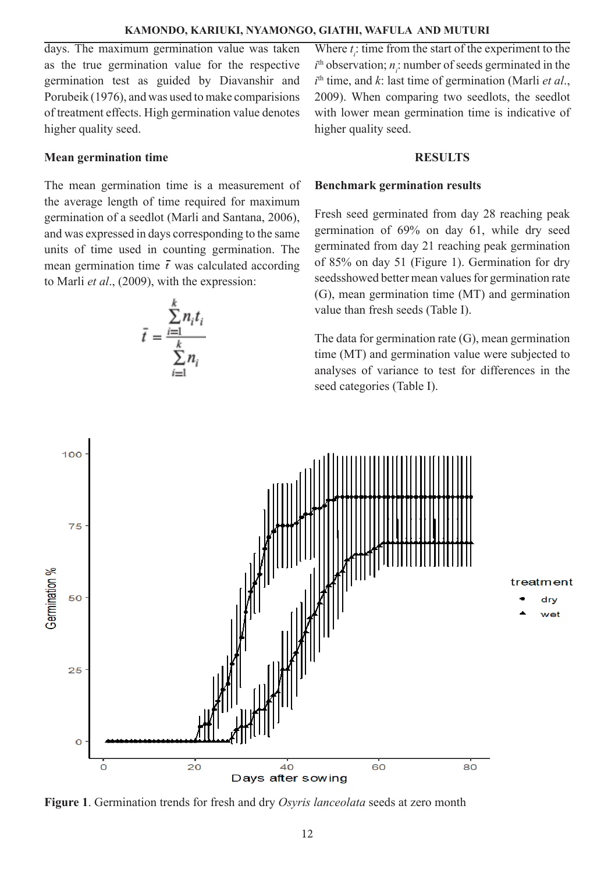#### **KAMONDO, KARIUKI, NYAMONGO, GIATHI, WAFULA AND MUTURI**

days. The maximum germination value was taken as the true germination value for the respective germination test as guided by Diavanshir and Porubeik (1976), and was used to make comparisions of treatment effects. High germination value denotes higher quality seed.

#### **Mean germination time**

The mean germination time is a measurement of the average length of time required for maximum germination of a seedlot (Marli and Santana, 2006), and was expressed in days corresponding to the same units of time used in counting germination. The mean germination time  $\bar{t}$  was calculated according to Marli *et al*., (2009), with the expression:

$$
\bar{t} = \frac{\sum_{i=1}^{k} n_i t_i}{\sum_{i=1}^{k} n_i}
$$

Where  $t_i$ : time from the start of the experiment to the  $i<sup>th</sup>$  observation;  $n<sub>i</sub>$ : number of seeds germinated in the *i* th time, and *k*: last time of germination (Marli *et al*., 2009). When comparing two seedlots, the seedlot with lower mean germination time is indicative of higher quality seed.

#### **RESULTS**

#### **Benchmark germination results**

Fresh seed germinated from day 28 reaching peak germination of 69% on day 61, while dry seed germinated from day 21 reaching peak germination of 85% on day 51 (Figure 1). Germination for dry seedsshowed better mean values for germination rate (G), mean germination time (MT) and germination value than fresh seeds (Table I).

The data for germination rate (G), mean germination time (MT) and germination value were subjected to analyses of variance to test for differences in the seed categories (Table I).



**Figure 1**. Germination trends for fresh and dry *Osyris lanceolata* seeds at zero month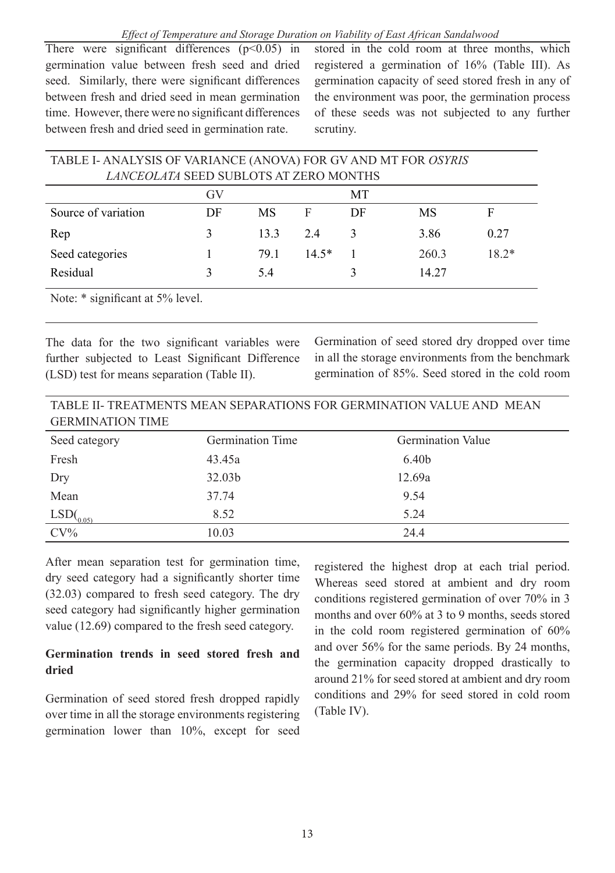#### *Effect of Temperature and Storage Duration on Viability of East African Sandalwood*

There were significant differences  $(p<0.05)$  in germination value between fresh seed and dried seed. Similarly, there were significant differences between fresh and dried seed in mean germination time. However, there were no significant differences between fresh and dried seed in germination rate.

stored in the cold room at three months, which registered a germination of 16% (Table III). As germination capacity of seed stored fresh in any of the environment was poor, the germination process of these seeds was not subjected to any further scrutiny.

| TABLE I- ANALYSIS OF VARIANCE (ANOVA) FOR GV AND MT FOR OSYRIS |    |      |         |    |       |         |
|----------------------------------------------------------------|----|------|---------|----|-------|---------|
| LANCEOLATA SEED SUBLOTS AT ZERO MONTHS                         |    |      |         |    |       |         |
| МT<br>GV                                                       |    |      |         |    |       |         |
| Source of variation                                            | DF | МS   | F       | DF | MS    | F       |
| Rep                                                            | 3  | 133  | 24      |    | 3.86  | 0.27    |
| Seed categories                                                |    | 79.1 | $14.5*$ |    | 260.3 | $18.2*$ |
| Residual                                                       |    | 54   |         |    | 14.27 |         |

Note:  $*$  significant at 5% level.

The data for the two significant variables were further subjected to Least Significant Difference (LSD) test for means separation (Table II).

Germination of seed stored dry dropped over time in all the storage environments from the benchmark germination of 85%. Seed stored in the cold room

| TABLE II- TREATMENTS MEAN SEPARATIONS FOR GERMINATION VALUE AND MEAN |  |
|----------------------------------------------------------------------|--|
| <b>GERMINATION TIME</b>                                              |  |

| Seed category          | Germination Time | <b>Germination Value</b> |
|------------------------|------------------|--------------------------|
| Fresh                  | 43.45a           | 6.40b                    |
| Dry                    | 32.03b           | 12.69a                   |
| Mean                   | 37.74            | 9.54                     |
| $LSD($ <sub>0.05</sub> | 8.52             | 5.24                     |
| $CV\%$                 | 10.03            | 24.4                     |

After mean separation test for germination time, dry seed category had a significantly shorter time (32.03) compared to fresh seed category. The dry seed category had significantly higher germination value (12.69) compared to the fresh seed category.

# **Germination trends in seed stored fresh and dried**

Germination of seed stored fresh dropped rapidly over time in all the storage environments registering germination lower than 10%, except for seed

registered the highest drop at each trial period. Whereas seed stored at ambient and dry room conditions registered germination of over 70% in 3 months and over 60% at 3 to 9 months, seeds stored in the cold room registered germination of 60% and over 56% for the same periods. By 24 months, the germination capacity dropped drastically to around 21% for seed stored at ambient and dry room conditions and 29% for seed stored in cold room (Table IV).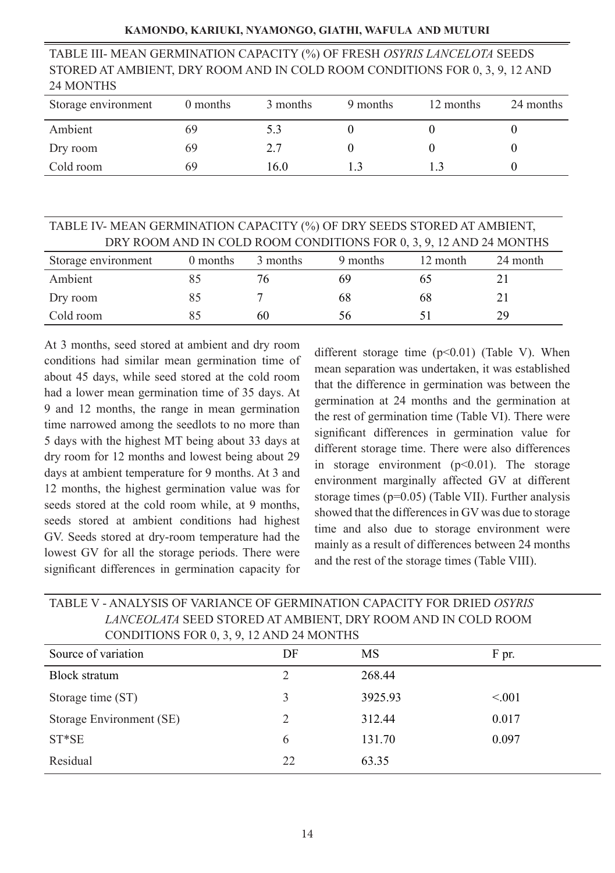#### **KAMONDO, KARIUKI, NYAMONGO, GIATHI, WAFULA AND MUTURI**

TABLE III- MEAN GERMINATION CAPACITY (%) OF FRESH *OSYRIS LANCELOTA* SEEDS STORED AT AMBIENT, DRY ROOM AND IN COLD ROOM CONDITIONS FOR 0, 3, 9, 12 AND 24 MONTHS

| Storage environment | 0 months | 3 months | 9 months | 12 months | 24 months |
|---------------------|----------|----------|----------|-----------|-----------|
| Ambient             | 69       | 5.3      |          |           |           |
| Dry room            | 69       | 2.7      |          |           |           |
| Cold room           | 69       | 16.0     |          |           |           |

| TABLE IV-MEAN GERMINATION CAPACITY (%) OF DRY SEEDS STORED AT AMBIENT, |          |          |          |          |          |  |
|------------------------------------------------------------------------|----------|----------|----------|----------|----------|--|
| DRY ROOM AND IN COLD ROOM CONDITIONS FOR 0, 3, 9, 12 AND 24 MONTHS     |          |          |          |          |          |  |
| Storage environment                                                    | 0 months | 3 months | 9 months | 12 month | 24 month |  |
| Ambient                                                                | 85       | 76       | 69       | 65       |          |  |
| Dry room                                                               | 85       |          | 68       | 68       | 21       |  |
| Cold room                                                              |          | 60       | 56       |          | 29       |  |

At 3 months, seed stored at ambient and dry room conditions had similar mean germination time of about 45 days, while seed stored at the cold room had a lower mean germination time of 35 days. At 9 and 12 months, the range in mean germination time narrowed among the seedlots to no more than 5 days with the highest MT being about 33 days at dry room for 12 months and lowest being about 29 days at ambient temperature for 9 months. At 3 and 12 months, the highest germination value was for seeds stored at the cold room while, at 9 months, seeds stored at ambient conditions had highest GV. Seeds stored at dry-room temperature had the lowest GV for all the storage periods. There were significant differences in germination capacity for

different storage time  $(p<0.01)$  (Table V). When mean separation was undertaken, it was established that the difference in germination was between the germination at 24 months and the germination at the rest of germination time (Table VI). There were significant differences in germination value for different storage time. There were also differences in storage environment  $(p<0.01)$ . The storage environment marginally affected GV at different storage times (p=0.05) (Table VII). Further analysis showed that the differences in GV was due to storage time and also due to storage environment were mainly as a result of differences between 24 months and the rest of the storage times (Table VIII).

| ETHOLOLITII QUUD QTORUD ITI ITHIDILIITI, DRT ROOMITTID IIT COUD ROOM<br>CONDITIONS FOR 0, 3, 9, 12 AND 24 MONTHS |    |         |        |  |
|------------------------------------------------------------------------------------------------------------------|----|---------|--------|--|
| Source of variation                                                                                              | DF | MS      | F pr.  |  |
| <b>Block stratum</b>                                                                                             | 2  | 268.44  |        |  |
| Storage time (ST)                                                                                                | 3  | 3925.93 | < 0.01 |  |
| Storage Environment (SE)                                                                                         | 2  | 312.44  | 0.017  |  |
| $ST*SE$                                                                                                          | 6  | 131.70  | 0.097  |  |
| Residual                                                                                                         | 22 | 63.35   |        |  |

# TABLE V - ANALYSIS OF VARIANCE OF GERMINATION CAPACITY FOR DRIED *OSYRIS LANCEOLATA* SEED STORED AT AMBIENT, DRY ROOM AND IN COLD ROOM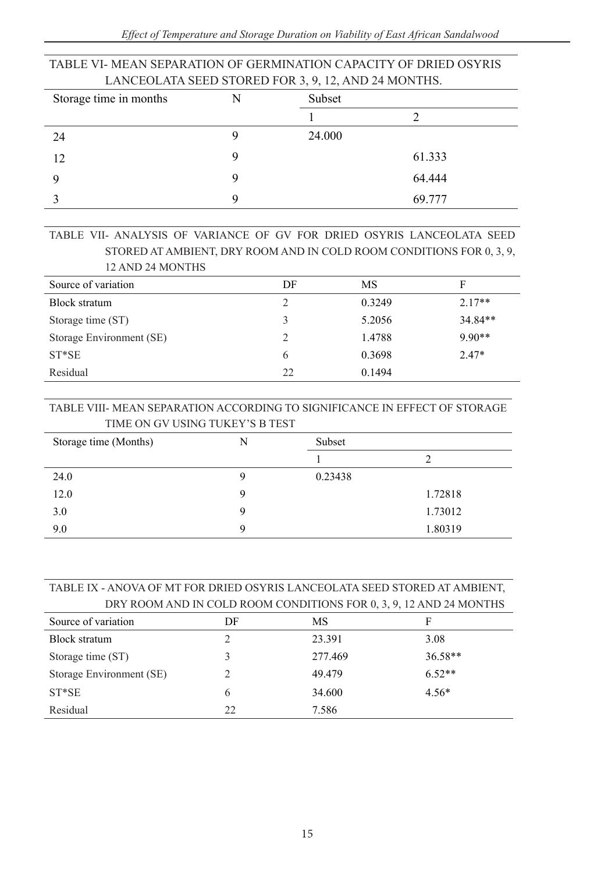| LANCEOLATA SEED STORED FOR 3, 9, 12, AND 24 MONTHS. |   |        |        |  |
|-----------------------------------------------------|---|--------|--------|--|
| Storage time in months                              | N | Subset |        |  |
|                                                     |   |        |        |  |
| 24                                                  |   | 24.000 |        |  |
| 12                                                  |   |        | 61.333 |  |
|                                                     |   |        | 64.444 |  |
|                                                     |   |        | 69.777 |  |

# TABLE VI- MEAN SEPARATION OF GERMINATION CAPACITY OF DRIED OSYRIS

#### TABLE VII- ANALYSIS OF VARIANCE OF GV FOR DRIED OSYRIS LANCEOLATA SEED STORED AT AMBIENT, DRY ROOM AND IN COLD ROOM CONDITIONS FOR 0, 3, 9, 12 AND 24 MONTHS

| Source of variation      | DF                          | MS     | F        |
|--------------------------|-----------------------------|--------|----------|
| Block stratum            | 2                           | 0.3249 | $2.17**$ |
| Storage time (ST)        | 3                           | 5.2056 | 34.84**  |
| Storage Environment (SE) | $\mathcal{D}_{\mathcal{A}}$ | 1.4788 | $9.90**$ |
| $ST*SE$                  | 6                           | 0.3698 | $2.47*$  |
| Residual                 | 22                          | 0.1494 |          |
|                          |                             |        |          |

### TABLE VIII- MEAN SEPARATION ACCORDING TO SIGNIFICANCE IN EFFECT OF STORAGE TIME ON GV USING TUKEY'S B TEST

| Storage time (Months) | N | Subset  |         |
|-----------------------|---|---------|---------|
|                       |   |         |         |
| 24.0                  |   | 0.23438 |         |
| 12.0                  | Q |         | 1.72818 |
| 3.0                   |   |         | 1.73012 |
| 9.0                   | Q |         | 1.80319 |

#### TABLE IX - ANOVA OF MT FOR DRIED OSYRIS LANCEOLATA SEED STORED AT AMBIENT, DRY ROOM AND IN COLD ROOM CONDITIONS FOR 0, 3, 9, 12 AND 24 MONTHS

| <u>Ditt ito on the it computed needs bitted to the city, and it is needs that</u> |    |         |           |
|-----------------------------------------------------------------------------------|----|---------|-----------|
| Source of variation                                                               | DF | MS      | F         |
| Block stratum                                                                     |    | 23.391  | 3.08      |
| Storage time (ST)                                                                 |    | 277.469 | $36.58**$ |
| Storage Environment (SE)                                                          |    | 49.479  | $6.52**$  |
| $ST*SE$                                                                           | 6  | 34.600  | $4.56*$   |
| Residual                                                                          | 22 | 7.586   |           |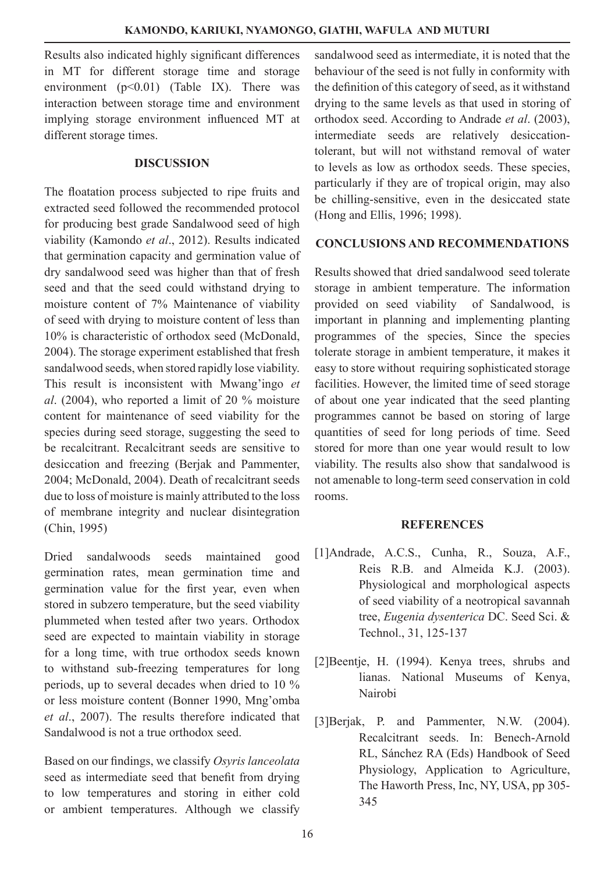Results also indicated highly significant differences in MT for different storage time and storage environment  $(p<0.01)$  (Table IX). There was interaction between storage time and environment implying storage environment influenced MT at different storage times.

#### **DISCUSSION**

The floatation process subjected to ripe fruits and extracted seed followed the recommended protocol for producing best grade Sandalwood seed of high viability (Kamondo *et al*., 2012). Results indicated that germination capacity and germination value of dry sandalwood seed was higher than that of fresh seed and that the seed could withstand drying to moisture content of 7% Maintenance of viability of seed with drying to moisture content of less than 10% is characteristic of orthodox seed (McDonald, 2004). The storage experiment established that fresh sandalwood seeds, when stored rapidly lose viability. This result is inconsistent with Mwang'ingo *et al*. (2004), who reported a limit of 20 % moisture content for maintenance of seed viability for the species during seed storage, suggesting the seed to be recalcitrant. Recalcitrant seeds are sensitive to desiccation and freezing (Berjak and Pammenter, 2004; McDonald, 2004). Death of recalcitrant seeds due to loss of moisture is mainly attributed to the loss of membrane integrity and nuclear disintegration (Chin, 1995)

Dried sandalwoods seeds maintained good germination rates, mean germination time and germination value for the first year, even when stored in subzero temperature, but the seed viability plummeted when tested after two years. Orthodox seed are expected to maintain viability in storage for a long time, with true orthodox seeds known to withstand sub-freezing temperatures for long periods, up to several decades when dried to 10 % or less moisture content (Bonner 1990, Mng'omba *et al*., 2007). The results therefore indicated that Sandalwood is not a true orthodox seed.

Based on our findings, we classify *Osyris lanceolata* seed as intermediate seed that benefit from drying to low temperatures and storing in either cold or ambient temperatures. Although we classify

sandalwood seed as intermediate, it is noted that the behaviour of the seed is not fully in conformity with the definition of this category of seed, as it withstand drying to the same levels as that used in storing of orthodox seed. According to Andrade *et al*. (2003), intermediate seeds are relatively desiccationtolerant, but will not withstand removal of water to levels as low as orthodox seeds. These species, particularly if they are of tropical origin, may also be chilling-sensitive, even in the desiccated state (Hong and Ellis, 1996; 1998).

# **CONCLUSIONS AND RECOMMENDATIONS**

Results showed that dried sandalwood seed tolerate storage in ambient temperature. The information provided on seed viability of Sandalwood, is important in planning and implementing planting programmes of the species, Since the species tolerate storage in ambient temperature, it makes it easy to store without requiring sophisticated storage facilities. However, the limited time of seed storage of about one year indicated that the seed planting programmes cannot be based on storing of large quantities of seed for long periods of time. Seed stored for more than one year would result to low viability. The results also show that sandalwood is not amenable to long-term seed conservation in cold rooms.

## **REFERENCES**

- [1]Andrade, A.C.S., Cunha, R., Souza, A.F., Reis R.B. and Almeida K.J. (2003). Physiological and morphological aspects of seed viability of a neotropical savannah tree, *Eugenia dysenterica* DC. Seed Sci. & Technol., 31, 125-137
- [2]Beentje, H. (1994). Kenya trees, shrubs and lianas. National Museums of Kenya, Nairobi
- [3]Berjak, P. and Pammenter, N.W. (2004). Recalcitrant seeds. In: Benech-Arnold RL, Sánchez RA (Eds) Handbook of Seed Physiology, Application to Agriculture, The Haworth Press, Inc, NY, USA, pp 305- 345